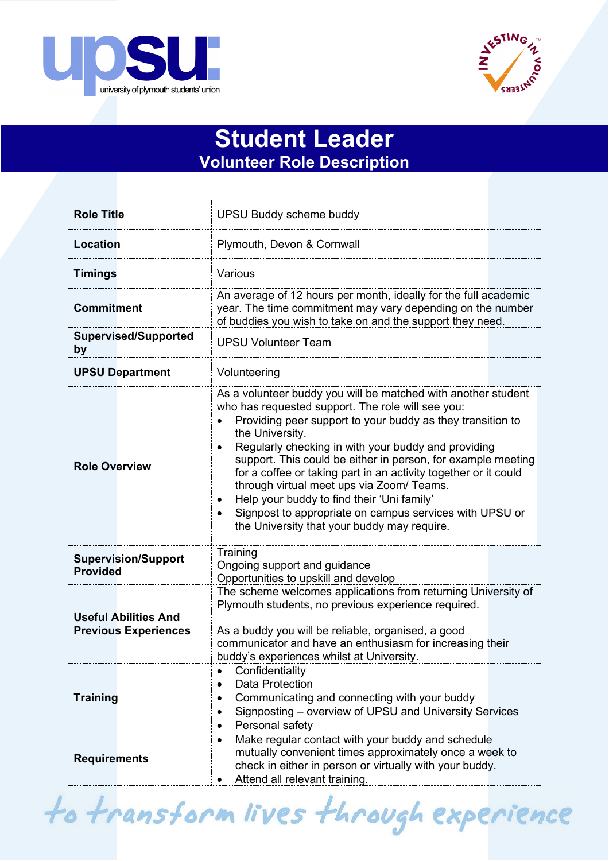



## **Student Leader Volunteer Role Description**

| <b>Role Title</b>                                          | <b>UPSU Buddy scheme buddy</b>                                                                                                                                                                                                                                                                                                                                                                                                                                                                                                                                                                                                            |
|------------------------------------------------------------|-------------------------------------------------------------------------------------------------------------------------------------------------------------------------------------------------------------------------------------------------------------------------------------------------------------------------------------------------------------------------------------------------------------------------------------------------------------------------------------------------------------------------------------------------------------------------------------------------------------------------------------------|
| <b>Location</b>                                            | Plymouth, Devon & Cornwall                                                                                                                                                                                                                                                                                                                                                                                                                                                                                                                                                                                                                |
| <b>Timings</b>                                             | Various                                                                                                                                                                                                                                                                                                                                                                                                                                                                                                                                                                                                                                   |
| <b>Commitment</b>                                          | An average of 12 hours per month, ideally for the full academic<br>year. The time commitment may vary depending on the number<br>of buddies you wish to take on and the support they need.                                                                                                                                                                                                                                                                                                                                                                                                                                                |
| <b>Supervised/Supported</b><br>by                          | <b>UPSU Volunteer Team</b>                                                                                                                                                                                                                                                                                                                                                                                                                                                                                                                                                                                                                |
| <b>UPSU Department</b>                                     | Volunteering                                                                                                                                                                                                                                                                                                                                                                                                                                                                                                                                                                                                                              |
| <b>Role Overview</b>                                       | As a volunteer buddy you will be matched with another student<br>who has requested support. The role will see you:<br>Providing peer support to your buddy as they transition to<br>the University.<br>Regularly checking in with your buddy and providing<br>$\bullet$<br>support. This could be either in person, for example meeting<br>for a coffee or taking part in an activity together or it could<br>through virtual meet ups via Zoom/ Teams.<br>Help your buddy to find their 'Uni family'<br>$\bullet$<br>Signpost to appropriate on campus services with UPSU or<br>$\bullet$<br>the University that your buddy may require. |
| <b>Supervision/Support</b><br><b>Provided</b>              | Training<br>Ongoing support and guidance<br>Opportunities to upskill and develop                                                                                                                                                                                                                                                                                                                                                                                                                                                                                                                                                          |
| <b>Useful Abilities And</b><br><b>Previous Experiences</b> | The scheme welcomes applications from returning University of<br>Plymouth students, no previous experience required.<br>As a buddy you will be reliable, organised, a good<br>communicator and have an enthusiasm for increasing their<br>buddy's experiences whilst at University.                                                                                                                                                                                                                                                                                                                                                       |
| <b>Training</b>                                            | Confidentiality<br>$\bullet$<br><b>Data Protection</b><br>$\bullet$<br>Communicating and connecting with your buddy<br>٠<br>Signposting - overview of UPSU and University Services<br>$\bullet$<br>Personal safety<br>$\bullet$                                                                                                                                                                                                                                                                                                                                                                                                           |
| <b>Requirements</b>                                        | Make regular contact with your buddy and schedule<br>$\bullet$<br>mutually convenient times approximately once a week to<br>check in either in person or virtually with your buddy.<br>Attend all relevant training.                                                                                                                                                                                                                                                                                                                                                                                                                      |

to transform lives through experience